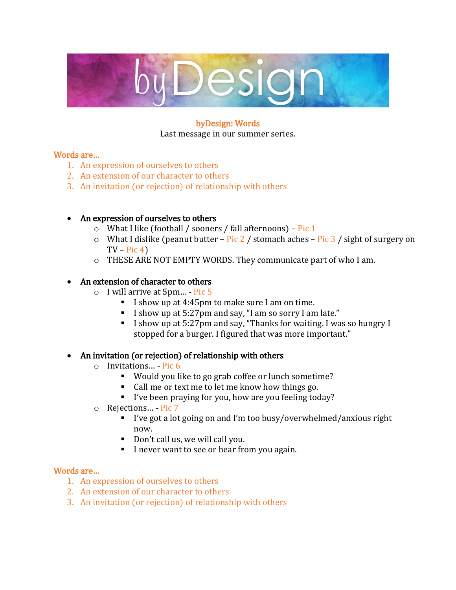

#### byDesign: Words Last message in our summer series.

## Words are…

- 1. An expression of ourselves to others
- 2. An extension of our character to others
- 3. An invitation (or rejection) of relationship with others

### • An expression of ourselves to others

- $\circ$  What I like (football / sooners / fall afternoons) Pic 1
- $\circ$  What I dislike (peanut butter Pic 2 / stomach aches Pic 3 / sight of surgery on  $TV - Pic(4)$
- o THESE ARE NOT EMPTY WORDS. They communicate part of who I am.

### • An extension of character to others

- o I will arrive at 5pm… Pic 5
	- I show up at 4:45pm to make sure I am on time.
	- I show up at 5:27pm and say, "I am so sorry I am late."
	- I show up at 5:27pm and say, "Thanks for waiting. I was so hungry I stopped for a burger. I figured that was more important."

#### • An invitation (or rejection) of relationship with others

- o Invitations… Pic 6
	- Would you like to go grab coffee or lunch sometime?
	- Call me or text me to let me know how things go.
	- I've been praying for you, how are you feeling today?
- o Rejections… Pic 7
	- I've got a lot going on and I'm too busy/overwhelmed/anxious right now.
	- Don't call us, we will call you.
	- I never want to see or hear from you again.

#### Words are…

- 1. An expression of ourselves to others
- 2. An extension of our character to others
- 3. An invitation (or rejection) of relationship with others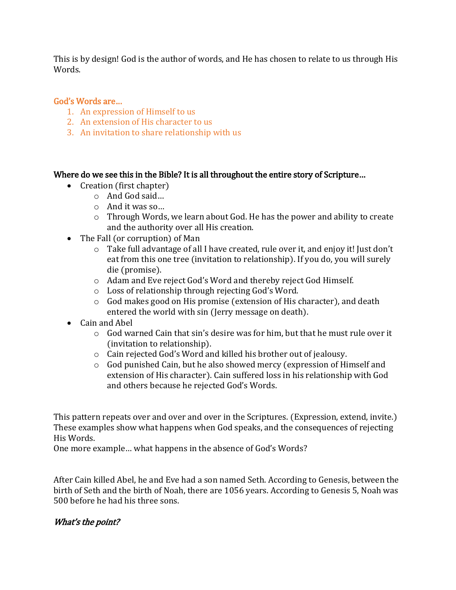This is by design! God is the author of words, and He has chosen to relate to us through His Words.

#### God's Words are…

- 1. An expression of Himself to us
- 2. An extension of His character to us
- 3. An invitation to share relationship with us

#### Where do we see this in the Bible? It is all throughout the entire story of Scripture…

- Creation (first chapter)
	- o And God said…
	- o And it was so…
	- o Through Words, we learn about God. He has the power and ability to create and the authority over all His creation.
- The Fall (or corruption) of Man
	- $\circ$  Take full advantage of all I have created, rule over it, and enjoy it! Just don't eat from this one tree (invitation to relationship). If you do, you will surely die (promise).
	- o Adam and Eve reject God's Word and thereby reject God Himself.
	- o Loss of relationship through rejecting God's Word.
	- o God makes good on His promise (extension of His character), and death entered the world with sin (Jerry message on death).
- Cain and Abel
	- o God warned Cain that sin's desire was for him, but that he must rule over it (invitation to relationship).
	- o Cain rejected God's Word and killed his brother out of jealousy.
	- o God punished Cain, but he also showed mercy (expression of Himself and extension of His character). Cain suffered loss in his relationship with God and others because he rejected God's Words.

This pattern repeats over and over and over in the Scriptures. (Expression, extend, invite.) These examples show what happens when God speaks, and the consequences of rejecting His Words.

One more example… what happens in the absence of God's Words?

After Cain killed Abel, he and Eve had a son named Seth. According to Genesis, between the birth of Seth and the birth of Noah, there are 1056 years. According to Genesis 5, Noah was 500 before he had his three sons.

## What's the point?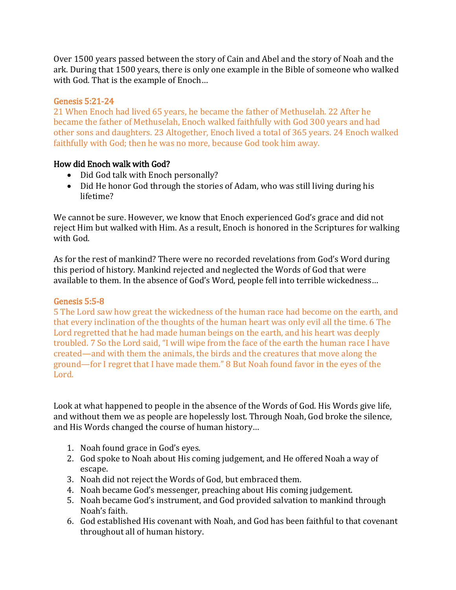Over 1500 years passed between the story of Cain and Abel and the story of Noah and the ark. During that 1500 years, there is only one example in the Bible of someone who walked with God. That is the example of Enoch…

# Genesis 5:21-24

21 When Enoch had lived 65 years, he became the father of Methuselah. 22 After he became the father of Methuselah, Enoch walked faithfully with God 300 years and had other sons and daughters. 23 Altogether, Enoch lived a total of 365 years. 24 Enoch walked faithfully with God; then he was no more, because God took him away.

# How did Enoch walk with God?

- Did God talk with Enoch personally?
- Did He honor God through the stories of Adam, who was still living during his lifetime?

We cannot be sure. However, we know that Enoch experienced God's grace and did not reject Him but walked with Him. As a result, Enoch is honored in the Scriptures for walking with God.

As for the rest of mankind? There were no recorded revelations from God's Word during this period of history. Mankind rejected and neglected the Words of God that were available to them. In the absence of God's Word, people fell into terrible wickedness…

## Genesis 5:5-8

5 The Lord saw how great the wickedness of the human race had become on the earth, and that every inclination of the thoughts of the human heart was only evil all the time. 6 The Lord regretted that he had made human beings on the earth, and his heart was deeply troubled. 7 So the Lord said, "I will wipe from the face of the earth the human race I have created—and with them the animals, the birds and the creatures that move along the ground—for I regret that I have made them." 8 But Noah found favor in the eyes of the Lord.

Look at what happened to people in the absence of the Words of God. His Words give life, and without them we as people are hopelessly lost. Through Noah, God broke the silence, and His Words changed the course of human history…

- 1. Noah found grace in God's eyes.
- 2. God spoke to Noah about His coming judgement, and He offered Noah a way of escape.
- 3. Noah did not reject the Words of God, but embraced them.
- 4. Noah became God's messenger, preaching about His coming judgement.
- 5. Noah became God's instrument, and God provided salvation to mankind through Noah's faith.
- 6. God established His covenant with Noah, and God has been faithful to that covenant throughout all of human history.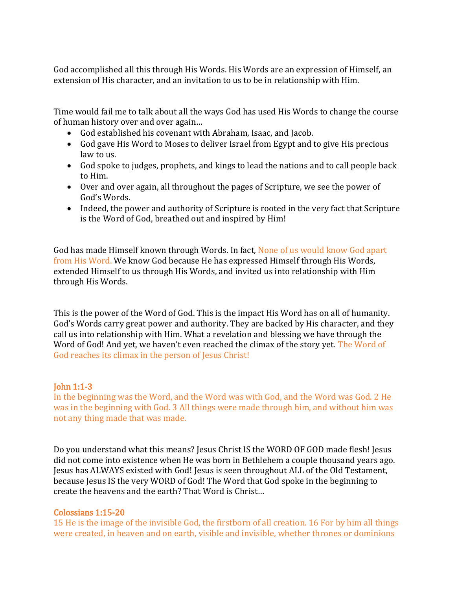God accomplished all this through His Words. His Words are an expression of Himself, an extension of His character, and an invitation to us to be in relationship with Him.

Time would fail me to talk about all the ways God has used His Words to change the course of human history over and over again…

- God established his covenant with Abraham, Isaac, and Jacob.
- God gave His Word to Moses to deliver Israel from Egypt and to give His precious law to us.
- God spoke to judges, prophets, and kings to lead the nations and to call people back to Him.
- Over and over again, all throughout the pages of Scripture, we see the power of God's Words.
- Indeed, the power and authority of Scripture is rooted in the very fact that Scripture is the Word of God, breathed out and inspired by Him!

God has made Himself known through Words. In fact, None of us would know God apart from His Word. We know God because He has expressed Himself through His Words, extended Himself to us through His Words, and invited us into relationship with Him through His Words.

This is the power of the Word of God. This is the impact His Word has on all of humanity. God's Words carry great power and authority. They are backed by His character, and they call us into relationship with Him. What a revelation and blessing we have through the Word of God! And yet, we haven't even reached the climax of the story yet. The Word of God reaches its climax in the person of Jesus Christ!

#### John 1:1-3

In the beginning was the Word, and the Word was with God, and the Word was God. 2 He was in the beginning with God. 3 All things were made through him, and without him was not any thing made that was made.

Do you understand what this means? Jesus Christ IS the WORD OF GOD made flesh! Jesus did not come into existence when He was born in Bethlehem a couple thousand years ago. Jesus has ALWAYS existed with God! Jesus is seen throughout ALL of the Old Testament, because Jesus IS the very WORD of God! The Word that God spoke in the beginning to create the heavens and the earth? That Word is Christ…

#### Colossians 1:15-20

15 He is the image of the invisible God, the firstborn of all creation. 16 For by him all things were created, in heaven and on earth, visible and invisible, whether thrones or dominions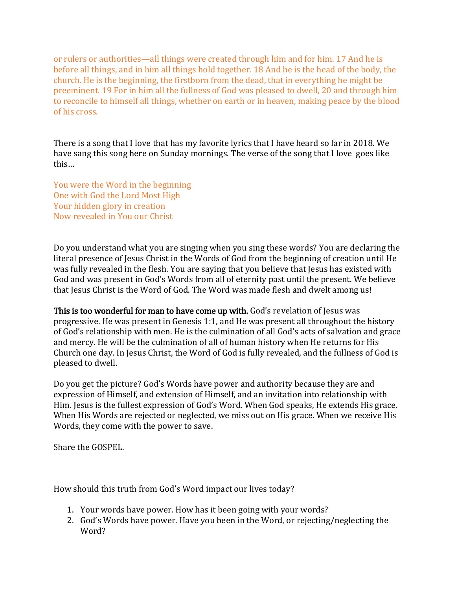or rulers or authorities—all things were created through him and for him. 17 And he is before all things, and in him all things hold together. 18 And he is the head of the body, the church. He is the beginning, the firstborn from the dead, that in everything he might be preeminent. 19 For in him all the fullness of God was pleased to dwell, 20 and through him to reconcile to himself all things, whether on earth or in heaven, making peace by the blood of his cross.

There is a song that I love that has my favorite lyrics that I have heard so far in 2018. We have sang this song here on Sunday mornings. The verse of the song that I love goes like this…

You were the Word in the beginning One with God the Lord Most High Your hidden glory in creation Now revealed in You our Christ

Do you understand what you are singing when you sing these words? You are declaring the literal presence of Jesus Christ in the Words of God from the beginning of creation until He was fully revealed in the flesh. You are saying that you believe that Jesus has existed with God and was present in God's Words from all of eternity past until the present. We believe that Jesus Christ is the Word of God. The Word was made flesh and dwelt among us!

This is too wonderful for man to have come up with. God's revelation of Jesus was progressive. He was present in Genesis 1:1, and He was present all throughout the history of God's relationship with men. He is the culmination of all God's acts of salvation and grace and mercy. He will be the culmination of all of human history when He returns for His Church one day. In Jesus Christ, the Word of God is fully revealed, and the fullness of God is pleased to dwell.

Do you get the picture? God's Words have power and authority because they are and expression of Himself, and extension of Himself, and an invitation into relationship with Him. Jesus is the fullest expression of God's Word. When God speaks, He extends His grace. When His Words are rejected or neglected, we miss out on His grace. When we receive His Words, they come with the power to save.

Share the GOSPEL.

How should this truth from God's Word impact our lives today?

- 1. Your words have power. How has it been going with your words?
- 2. God's Words have power. Have you been in the Word, or rejecting/neglecting the Word?